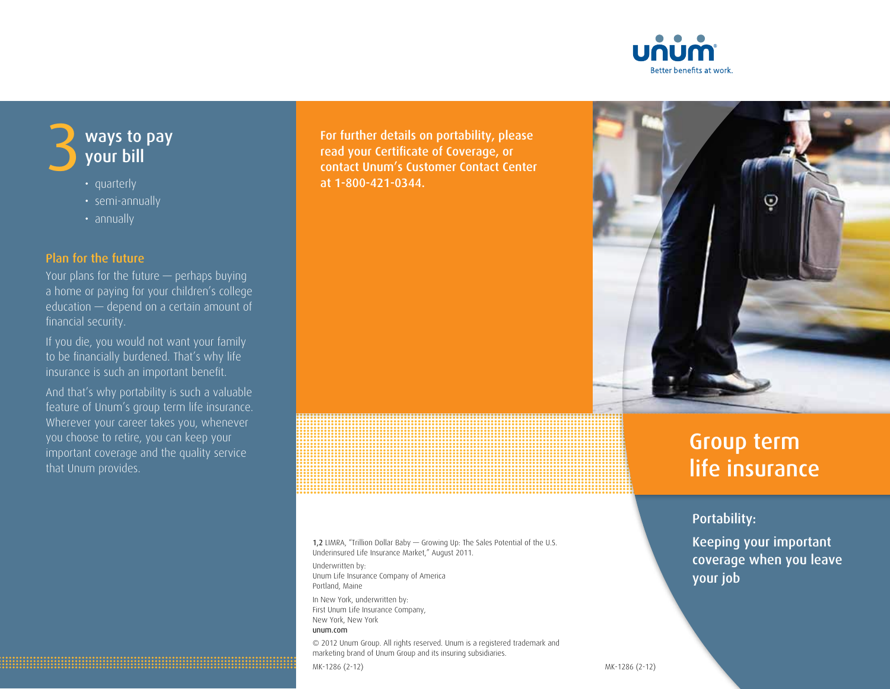

# ways to pay your bill

- · quarterly
- · semi-annually
- $\cdot$  annually

## Plan for the future

Your plans for the future  $-$  perhaps buying a home or paying for your children's college education — depend on a certain amount of financial security.

If you die, you would not want your family to be financially burdened. That's why life insurance is such an important benefit.

And that's why portability is such a valuable feature of Unum's group term life insurance. Wherever your career takes you, whenever you choose to retire, you can keep your important coverage and the quality service that Unum provides.

For further details on portability, please read your Certificate of Coverage, or contact Unum's Customer Contact Center at 1-800-421-0344.



# **Group term** life insurance

**Portability:** 

Keeping your important coverage when you leave your job

1,2 LIMRA, "Trillion Dollar Baby - Growing Up: The Sales Potential of the U.S. Underinsured Life Insurance Market," August 2011.

Underwritten by: Unum Life Insurance Company of America Portland, Maine

In New York, underwritten by: First Unum Life Insurance Company, New York, New York unum.com

@ 2012 Unum Group. All rights reserved. Unum is a registered trademark and marketing brand of Unum Group and its insuring subsidiaries.